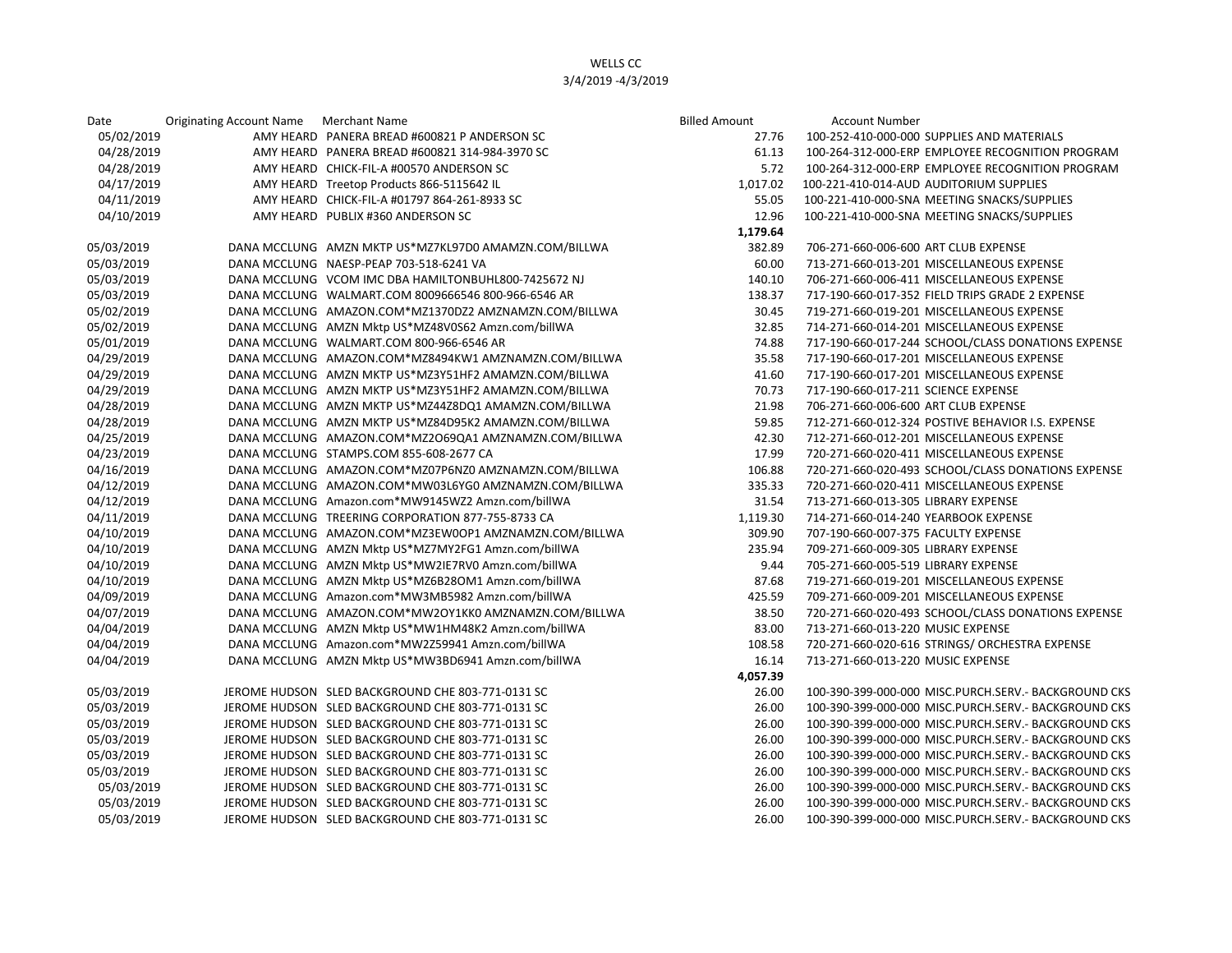## WELLS CC 3/4/2019 -4/3/2019

| Date       | Originating Account Name Merchant Name |                                                       | <b>Billed Amount</b> | <b>Account Number</b>                                |
|------------|----------------------------------------|-------------------------------------------------------|----------------------|------------------------------------------------------|
| 05/02/2019 |                                        | AMY HEARD PANERA BREAD #600821 P ANDERSON SC          | 27.76                | 100-252-410-000-000 SUPPLIES AND MATERIALS           |
| 04/28/2019 |                                        | AMY HEARD PANERA BREAD #600821 314-984-3970 SC        | 61.13                | 100-264-312-000-ERP EMPLOYEE RECOGNITION PROGRAM     |
| 04/28/2019 |                                        | AMY HEARD CHICK-FIL-A #00570 ANDERSON SC              | 5.72                 | 100-264-312-000-ERP EMPLOYEE RECOGNITION PROGRAM     |
| 04/17/2019 |                                        | AMY HEARD Treetop Products 866-5115642 IL             | 1,017.02             | 100-221-410-014-AUD AUDITORIUM SUPPLIES              |
| 04/11/2019 |                                        | AMY HEARD CHICK-FIL-A #01797 864-261-8933 SC          | 55.05                | 100-221-410-000-SNA MEETING SNACKS/SUPPLIES          |
| 04/10/2019 |                                        | AMY HEARD PUBLIX #360 ANDERSON SC                     | 12.96                | 100-221-410-000-SNA MEETING SNACKS/SUPPLIES          |
|            |                                        |                                                       | 1,179.64             |                                                      |
| 05/03/2019 |                                        | DANA MCCLUNG AMZN MKTP US*MZ7KL97D0 AMAMZN.COM/BILLWA | 382.89               | 706-271-660-006-600 ART CLUB EXPENSE                 |
| 05/03/2019 |                                        | DANA MCCLUNG NAESP-PEAP 703-518-6241 VA               | 60.00                | 713-271-660-013-201 MISCELLANEOUS EXPENSE            |
| 05/03/2019 |                                        | DANA MCCLUNG VCOM IMC DBA HAMILTONBUHL800-7425672 NJ  | 140.10               | 706-271-660-006-411 MISCELLANEOUS EXPENSE            |
| 05/03/2019 |                                        | DANA MCCLUNG WALMART.COM 8009666546 800-966-6546 AR   | 138.37               | 717-190-660-017-352 FIELD TRIPS GRADE 2 EXPENSE      |
| 05/02/2019 |                                        | DANA MCCLUNG AMAZON.COM*MZ1370DZ2 AMZNAMZN.COM/BILLWA | 30.45                | 719-271-660-019-201 MISCELLANEOUS EXPENSE            |
| 05/02/2019 |                                        | DANA MCCLUNG AMZN Mktp US*MZ48V0S62 Amzn.com/billWA   | 32.85                | 714-271-660-014-201 MISCELLANEOUS EXPENSE            |
| 05/01/2019 |                                        | DANA MCCLUNG WALMART.COM 800-966-6546 AR              | 74.88                | 717-190-660-017-244 SCHOOL/CLASS DONATIONS EXPENSE   |
| 04/29/2019 |                                        | DANA MCCLUNG AMAZON.COM*MZ8494KW1 AMZNAMZN.COM/BILLWA | 35.58                | 717-190-660-017-201 MISCELLANEOUS EXPENSE            |
| 04/29/2019 |                                        | DANA MCCLUNG AMZN MKTP US*MZ3Y51HF2 AMAMZN.COM/BILLWA | 41.60                | 717-190-660-017-201 MISCELLANEOUS EXPENSE            |
| 04/29/2019 |                                        | DANA MCCLUNG AMZN MKTP US*MZ3Y51HF2 AMAMZN.COM/BILLWA | 70.73                | 717-190-660-017-211 SCIENCE EXPENSE                  |
| 04/28/2019 |                                        | DANA MCCLUNG AMZN MKTP US*MZ44Z8DQ1 AMAMZN.COM/BILLWA | 21.98                | 706-271-660-006-600 ART CLUB EXPENSE                 |
| 04/28/2019 |                                        | DANA MCCLUNG AMZN MKTP US*MZ84D95K2 AMAMZN.COM/BILLWA | 59.85                | 712-271-660-012-324 POSTIVE BEHAVIOR I.S. EXPENSE    |
| 04/25/2019 |                                        | DANA MCCLUNG AMAZON.COM*MZ2O69QA1 AMZNAMZN.COM/BILLWA | 42.30                | 712-271-660-012-201 MISCELLANEOUS EXPENSE            |
| 04/23/2019 |                                        | DANA MCCLUNG STAMPS.COM 855-608-2677 CA               | 17.99                | 720-271-660-020-411 MISCELLANEOUS EXPENSE            |
| 04/16/2019 |                                        | DANA MCCLUNG AMAZON.COM*MZ07P6NZ0 AMZNAMZN.COM/BILLWA | 106.88               | 720-271-660-020-493 SCHOOL/CLASS DONATIONS EXPENSE   |
| 04/12/2019 |                                        | DANA MCCLUNG AMAZON.COM*MW03L6YG0 AMZNAMZN.COM/BILLWA | 335.33               | 720-271-660-020-411 MISCELLANEOUS EXPENSE            |
| 04/12/2019 |                                        | DANA MCCLUNG Amazon.com*MW9145WZ2 Amzn.com/billWA     | 31.54                | 713-271-660-013-305 LIBRARY EXPENSE                  |
| 04/11/2019 |                                        | DANA MCCLUNG TREERING CORPORATION 877-755-8733 CA     | 1,119.30             | 714-271-660-014-240 YEARBOOK EXPENSE                 |
| 04/10/2019 |                                        | DANA MCCLUNG AMAZON.COM*MZ3EW0OP1 AMZNAMZN.COM/BILLWA | 309.90               | 707-190-660-007-375 FACULTY EXPENSE                  |
| 04/10/2019 |                                        | DANA MCCLUNG AMZN Mktp US*MZ7MY2FG1 Amzn.com/billWA   | 235.94               | 709-271-660-009-305 LIBRARY EXPENSE                  |
| 04/10/2019 |                                        | DANA MCCLUNG AMZN Mktp US*MW2IE7RV0 Amzn.com/billWA   | 9.44                 | 705-271-660-005-519 LIBRARY EXPENSE                  |
| 04/10/2019 |                                        | DANA MCCLUNG AMZN Mktp US*MZ6B28OM1 Amzn.com/billWA   | 87.68                | 719-271-660-019-201 MISCELLANEOUS EXPENSE            |
| 04/09/2019 |                                        | DANA MCCLUNG Amazon.com*MW3MB5982 Amzn.com/billWA     | 425.59               | 709-271-660-009-201 MISCELLANEOUS EXPENSE            |
| 04/07/2019 |                                        | DANA MCCLUNG AMAZON.COM*MW2OY1KK0 AMZNAMZN.COM/BILLWA | 38.50                | 720-271-660-020-493 SCHOOL/CLASS DONATIONS EXPENSE   |
| 04/04/2019 |                                        | DANA MCCLUNG AMZN Mktp US*MW1HM48K2 Amzn.com/billWA   | 83.00                | 713-271-660-013-220 MUSIC EXPENSE                    |
| 04/04/2019 |                                        | DANA MCCLUNG Amazon.com*MW2Z59941 Amzn.com/billWA     | 108.58               | 720-271-660-020-616 STRINGS/ ORCHESTRA EXPENSE       |
| 04/04/2019 |                                        | DANA MCCLUNG AMZN Mktp US*MW3BD6941 Amzn.com/billWA   | 16.14                | 713-271-660-013-220 MUSIC EXPENSE                    |
|            |                                        |                                                       | 4,057.39             |                                                      |
| 05/03/2019 |                                        | JEROME HUDSON SLED BACKGROUND CHE 803-771-0131 SC     | 26.00                | 100-390-399-000-000 MISC.PURCH.SERV.- BACKGROUND CKS |
| 05/03/2019 |                                        | JEROME HUDSON SLED BACKGROUND CHE 803-771-0131 SC     | 26.00                | 100-390-399-000-000 MISC.PURCH.SERV.- BACKGROUND CKS |
| 05/03/2019 |                                        | JEROME HUDSON SLED BACKGROUND CHE 803-771-0131 SC     | 26.00                | 100-390-399-000-000 MISC.PURCH.SERV.- BACKGROUND CKS |
| 05/03/2019 |                                        | JEROME HUDSON SLED BACKGROUND CHE 803-771-0131 SC     | 26.00                | 100-390-399-000-000 MISC.PURCH.SERV.- BACKGROUND CKS |
| 05/03/2019 |                                        | JEROME HUDSON SLED BACKGROUND CHE 803-771-0131 SC     | 26.00                | 100-390-399-000-000 MISC.PURCH.SERV.- BACKGROUND CKS |
| 05/03/2019 |                                        | JEROME HUDSON SLED BACKGROUND CHE 803-771-0131 SC     | 26.00                | 100-390-399-000-000 MISC.PURCH.SERV.- BACKGROUND CKS |
| 05/03/2019 |                                        | JEROME HUDSON SLED BACKGROUND CHE 803-771-0131 SC     | 26.00                | 100-390-399-000-000 MISC.PURCH.SERV.- BACKGROUND CKS |
| 05/03/2019 |                                        | JEROME HUDSON SLED BACKGROUND CHE 803-771-0131 SC     | 26.00                | 100-390-399-000-000 MISC.PURCH.SERV.- BACKGROUND CKS |
| 05/03/2019 |                                        | JEROME HUDSON SLED BACKGROUND CHE 803-771-0131 SC     | 26.00                | 100-390-399-000-000 MISC.PURCH.SERV.- BACKGROUND CKS |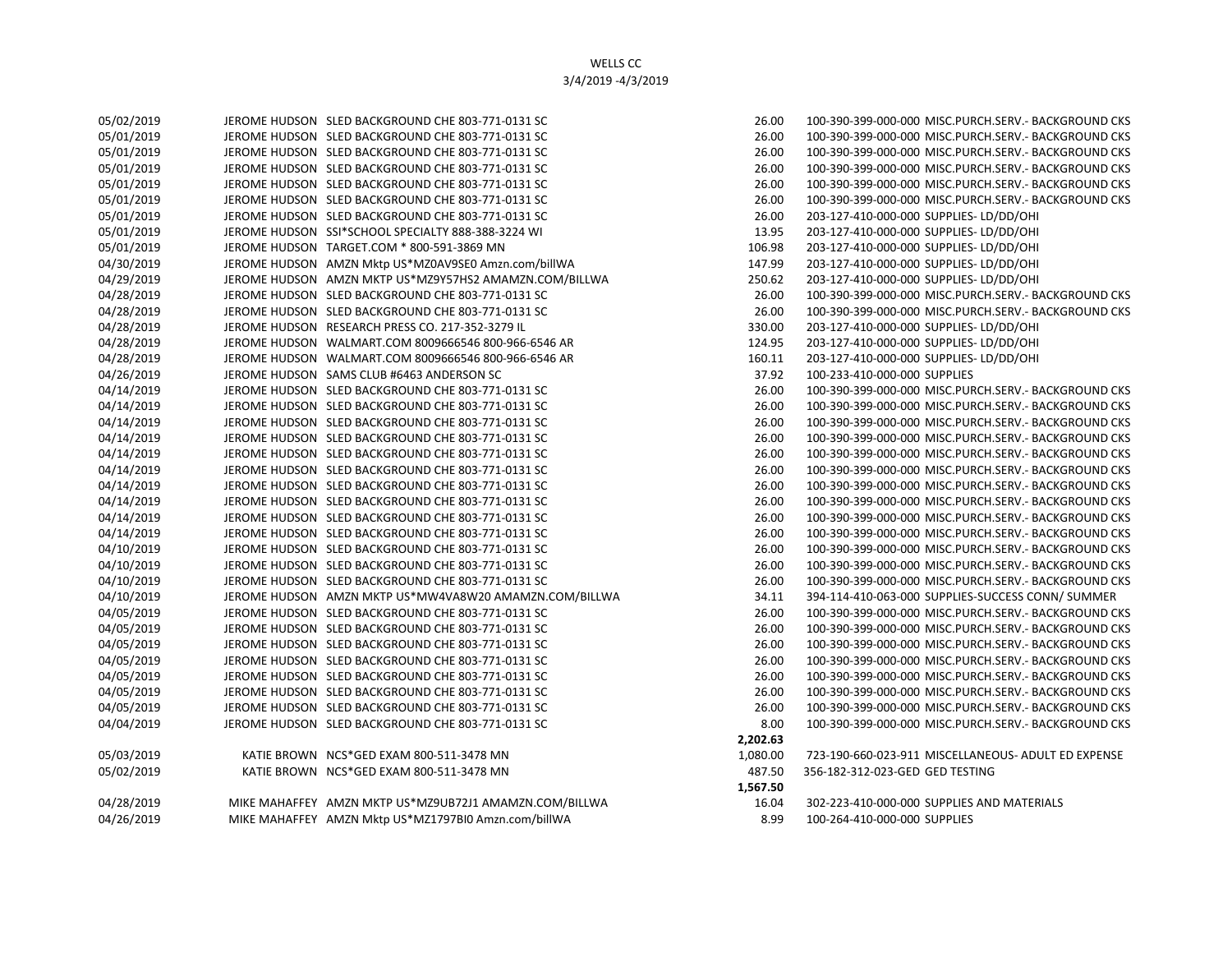| 05/02/2019 | JEROME HUDSON SLED BACKGROUND CHE 803-771-0131 SC      | 26.00    | 100-390-399-000-000 MISC.PUI |
|------------|--------------------------------------------------------|----------|------------------------------|
| 05/01/2019 | JEROME HUDSON SLED BACKGROUND CHE 803-771-0131 SC      | 26.00    | 100-390-399-000-000 MISC.PUI |
| 05/01/2019 | JEROME HUDSON SLED BACKGROUND CHE 803-771-0131 SC      | 26.00    | 100-390-399-000-000 MISC.PUI |
| 05/01/2019 | JEROME HUDSON SLED BACKGROUND CHE 803-771-0131 SC      | 26.00    | 100-390-399-000-000 MISC.PUI |
| 05/01/2019 | JEROME HUDSON SLED BACKGROUND CHE 803-771-0131 SC      | 26.00    | 100-390-399-000-000 MISC.PUI |
| 05/01/2019 | JEROME HUDSON SLED BACKGROUND CHE 803-771-0131 SC      | 26.00    | 100-390-399-000-000 MISC.PUI |
| 05/01/2019 | JEROME HUDSON SLED BACKGROUND CHE 803-771-0131 SC      | 26.00    | 203-127-410-000-000 SUPPLIES |
| 05/01/2019 | JEROME HUDSON SSI*SCHOOL SPECIALTY 888-388-3224 WI     | 13.95    | 203-127-410-000-000 SUPPLIES |
| 05/01/2019 | JEROME HUDSON TARGET.COM * 800-591-3869 MN             | 106.98   | 203-127-410-000-000 SUPPLIES |
| 04/30/2019 | JEROME HUDSON AMZN Mktp US*MZ0AV9SE0 Amzn.com/billWA   | 147.99   | 203-127-410-000-000 SUPPLIES |
| 04/29/2019 | JEROME HUDSON AMZN MKTP US*MZ9Y57HS2 AMAMZN.COM/BILLWA | 250.62   | 203-127-410-000-000 SUPPLIES |
| 04/28/2019 | JEROME HUDSON SLED BACKGROUND CHE 803-771-0131 SC      | 26.00    | 100-390-399-000-000 MISC.PUI |
| 04/28/2019 | JEROME HUDSON SLED BACKGROUND CHE 803-771-0131 SC      | 26.00    | 100-390-399-000-000 MISC.PUI |
| 04/28/2019 | JEROME HUDSON RESEARCH PRESS CO. 217-352-3279 IL       | 330.00   | 203-127-410-000-000 SUPPLIES |
| 04/28/2019 | JEROME HUDSON WALMART.COM 8009666546 800-966-6546 AR   | 124.95   | 203-127-410-000-000 SUPPLIES |
| 04/28/2019 | JEROME HUDSON WALMART.COM 8009666546 800-966-6546 AR   | 160.11   | 203-127-410-000-000 SUPPLIES |
| 04/26/2019 | JEROME HUDSON SAMS CLUB #6463 ANDERSON SC              | 37.92    | 100-233-410-000-000 SUPPLIES |
| 04/14/2019 | JEROME HUDSON SLED BACKGROUND CHE 803-771-0131 SC      | 26.00    | 100-390-399-000-000 MISC.PUR |
| 04/14/2019 | JEROME HUDSON SLED BACKGROUND CHE 803-771-0131 SC      | 26.00    | 100-390-399-000-000 MISC.PUI |
| 04/14/2019 | JEROME HUDSON SLED BACKGROUND CHE 803-771-0131 SC      | 26.00    | 100-390-399-000-000 MISC.PUI |
| 04/14/2019 | JEROME HUDSON SLED BACKGROUND CHE 803-771-0131 SC      | 26.00    | 100-390-399-000-000 MISC.PUR |
| 04/14/2019 | JEROME HUDSON SLED BACKGROUND CHE 803-771-0131 SC      | 26.00    | 100-390-399-000-000 MISC.PUI |
| 04/14/2019 | JEROME HUDSON SLED BACKGROUND CHE 803-771-0131 SC      | 26.00    | 100-390-399-000-000 MISC.PUI |
| 04/14/2019 | JEROME HUDSON SLED BACKGROUND CHE 803-771-0131 SC      | 26.00    | 100-390-399-000-000 MISC.PUI |
| 04/14/2019 | JEROME HUDSON SLED BACKGROUND CHE 803-771-0131 SC      | 26.00    | 100-390-399-000-000 MISC.PUI |
| 04/14/2019 | JEROME HUDSON SLED BACKGROUND CHE 803-771-0131 SC      | 26.00    | 100-390-399-000-000 MISC.PUI |
| 04/14/2019 | JEROME HUDSON SLED BACKGROUND CHE 803-771-0131 SC      | 26.00    | 100-390-399-000-000 MISC.PUI |
| 04/10/2019 | JEROME HUDSON SLED BACKGROUND CHE 803-771-0131 SC      | 26.00    | 100-390-399-000-000 MISC.PUR |
| 04/10/2019 | JEROME HUDSON SLED BACKGROUND CHE 803-771-0131 SC      | 26.00    | 100-390-399-000-000 MISC.PUI |
| 04/10/2019 | JEROME HUDSON SLED BACKGROUND CHE 803-771-0131 SC      | 26.00    | 100-390-399-000-000 MISC.PUI |
| 04/10/2019 | JEROME HUDSON AMZN MKTP US*MW4VA8W20 AMAMZN.COM/BILLWA | 34.11    | 394-114-410-063-000 SUPPLIES |
| 04/05/2019 | JEROME HUDSON SLED BACKGROUND CHE 803-771-0131 SC      | 26.00    | 100-390-399-000-000 MISC.PUI |
| 04/05/2019 | JEROME HUDSON SLED BACKGROUND CHE 803-771-0131 SC      | 26.00    | 100-390-399-000-000 MISC.PUI |
| 04/05/2019 | JEROME HUDSON SLED BACKGROUND CHE 803-771-0131 SC      | 26.00    | 100-390-399-000-000 MISC.PUI |
| 04/05/2019 | JEROME HUDSON SLED BACKGROUND CHE 803-771-0131 SC      | 26.00    | 100-390-399-000-000 MISC.PUI |
| 04/05/2019 | JEROME HUDSON SLED BACKGROUND CHE 803-771-0131 SC      | 26.00    | 100-390-399-000-000 MISC.PUI |
| 04/05/2019 | JEROME HUDSON SLED BACKGROUND CHE 803-771-0131 SC      | 26.00    | 100-390-399-000-000 MISC.PUI |
| 04/05/2019 | JEROME HUDSON SLED BACKGROUND CHE 803-771-0131 SC      | 26.00    | 100-390-399-000-000 MISC.PUR |
| 04/04/2019 | JEROME HUDSON SLED BACKGROUND CHE 803-771-0131 SC      | 8.00     | 100-390-399-000-000 MISC.PUI |
|            |                                                        | 2,202.63 |                              |
| 05/03/2019 | KATIE BROWN NCS*GED EXAM 800-511-3478 MN               | 1,080.00 | 723-190-660-023-911 MISCELLA |
| 05/02/2019 | KATIE BROWN NCS*GED EXAM 800-511-3478 MN               | 487.50   | 356-182-312-023-GED GED TEST |
|            |                                                        | 1,567.50 |                              |
| 04/28/2019 | MIKE MAHAFFEY AMZN MKTP US*MZ9UB72J1 AMAMZN.COM/BILLWA | 16.04    | 302-223-410-000-000 SUPPLIES |
| 04/26/2019 | MIKE MAHAFFEY AMZN Mktp US*MZ1797BIO Amzn.com/billWA   | 8.99     | 100-264-410-000-000 SUPPLIES |

26.00 100-390-399-000-000 MISC.PURCH.SERV.- BACKGROUND CKS 05/01/2019 JEROME HUDSON SLED BACKGROUND CHE 803-771-0131 SC 26.00 100-390-399-000-000 MISC.PURCH.SERV.- BACKGROUND CKS 05/01/2019 JEROME HUDSON SLED BACKGROUND CHE 803-771-0131 SC 26.00 100-390-399-000-000 MISC.PURCH.SERV.- BACKGROUND CKS 05/01/2019 JEROME HUDSON SLED BACKGROUND CHE 803-771-0131 SC 26.00 100-390-399-000-000 MISC.PURCH.SERV.- BACKGROUND CKS 26.00 100-390-399-000-000 MISC.PURCH.SERV.- BACKGROUND CKS 05/01/2019 JEROME HUDSON SLED BACKGROUND CHE 803-771-0131 SC 26.00 100-390-399-000-000 MISC.PURCH.SERV.- BACKGROUND CKS 26.00 203-127-410-000-000 SUPPLIES- LD/DD/OHI 13.95 203-127-410-000-000 SUPPLIES- LD/DD/OHI 106.98 203-127-410-000-000 SUPPLIES- LD/DD/OHI 147.99 203-127-410-000-000 SUPPLIES- LD/DD/OHI 250.62 203-127-410-000-000 SUPPLIES- LD/DD/OHI 04/28/2019 JEROME HUDSON SLED BACKGROUND CHE 803-771-0131 SC 26.00 100-390-399-000-000 MISC.PURCH.SERV.- BACKGROUND CKS 26.00 100-390-399-000-000 MISC.PURCH.SERV.- BACKGROUND CKS 330.00 203-127-410-000-000 SUPPLIES- LD/DD/OHI 124.95 203-127-410-000-000 SUPPLIES- LD/DD/OHI 160.11 203-127-410-000-000 SUPPLIES- LD/DD/OHI 37.92 100-233-410-000-000 SUPPLIES 26.00 100-390-399-000-000 MISC.PURCH.SERV.- BACKGROUND CKS 26.00 100-390-399-000-000 MISC.PURCH.SERV.- BACKGROUND CKS 26.00 100-390-399-000-000 MISC.PURCH.SERV.- BACKGROUND CKS 26.00 100-390-399-000-000 MISC.PURCH.SERV.- BACKGROUND CKS 26.00 100-390-399-000-000 MISC.PURCH.SERV.- BACKGROUND CKS 26.00 100-390-399-000-000 MISC.PURCH.SERV.- BACKGROUND CKS 26.00 100-390-399-000-000 MISC.PURCH.SERV.- BACKGROUND CKS 26.00 100-390-399-000-000 MISC.PURCH.SERV.- BACKGROUND CKS 26.00 100-390-399-000-000 MISC.PURCH.SERV.- BACKGROUND CKS 26.00 100-390-399-000-000 MISC.PURCH.SERV.- BACKGROUND CKS 26.00 100-390-399-000-000 MISC.PURCH.SERV.- BACKGROUND CKS 26.00 100-390-399-000-000 MISC.PURCH.SERV.- BACKGROUND CKS 26.00 100-390-399-000-000 MISC.PURCH.SERV.- BACKGROUND CKS 34.11 394-114-410-063-000 SUPPLIES-SUCCESS CONN/ SUMMER 26.00 100-390-399-000-000 MISC.PURCH.SERV.- BACKGROUND CKS 26.00 100-390-399-000-000 MISC.PURCH.SERV.- BACKGROUND CKS 04/05/2019 JEROME HUDSON SLED BACKGROUND CHE 803-771-0131 SC 26.00 100-390-399-000-000 MISC.PURCH.SERV.- BACKGROUND CKS 26.00 100-390-399-000-000 MISC.PURCH.SERV.- BACKGROUND CKS 04/05/2019 JEROME HUDSON SLED BACKGROUND CHE 803-771-0131 SC 26.00 100-390-399-000-000 MISC.PURCH.SERV.- BACKGROUND CKS 26.00 100-390-399-000-000 MISC.PURCH.SERV.- BACKGROUND CKS 26.00 100-390-399-000-000 MISC.PURCH.SERV.- BACKGROUND CKS 8.00 100-390-399-000-000 MISC.PURCH.SERV.- BACKGROUND CKS  **2,202.63** 1,080.00 723-190-660-023-911 MISCELLANEOUS- ADULT ED EXPENSE 487.50 356-182-312-023-GED GED TESTING  **1,567.50** 16.04 302-223-410-000-000 SUPPLIES AND MATERIALS